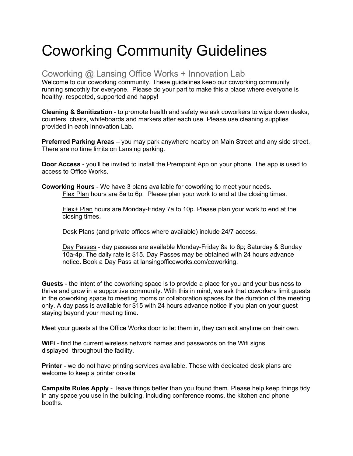# Coworking Community Guidelines

# Coworking @ Lansing Office Works + Innovation Lab

Welcome to our coworking community. These guidelines keep our coworking community running smoothly for everyone. Please do your part to make this a place where everyone is healthy, respected, supported and happy!

**Cleaning & Sanitization** - to promote health and safety we ask coworkers to wipe down desks, counters, chairs, whiteboards and markers after each use. Please use cleaning supplies provided in each Innovation Lab.

**Preferred Parking Areas** – you may park anywhere nearby on Main Street and any side street. There are no time limits on Lansing parking.

**Door Access** - you'll be invited to install the Prempoint App on your phone. The app is used to access to Office Works.

**Coworking Hours** - We have 3 plans available for coworking to meet your needs. Flex Plan hours are 8a to 6p. Please plan your work to end at the closing times.

Flex+ Plan hours are Monday-Friday 7a to 10p. Please plan your work to end at the closing times.

Desk Plans (and private offices where available) include 24/7 access.

Day Passes - day passess are available Monday-Friday 8a to 6p; Saturday & Sunday 10a-4p. The daily rate is \$15. Day Passes may be obtained with 24 hours advance notice. Book a Day Pass at lansingofficeworks.com/coworking.

**Guests** - the intent of the coworking space is to provide a place for you and your business to thrive and grow in a supportive community. With this in mind, we ask that coworkers limit guests in the coworking space to meeting rooms or collaboration spaces for the duration of the meeting only. A day pass is available for \$15 with 24 hours advance notice if you plan on your guest staying beyond your meeting time.

Meet your guests at the Office Works door to let them in, they can exit anytime on their own.

**WiFi** - find the current wireless network names and passwords on the Wifi signs displayed throughout the facility.

**Printer** - we do not have printing services available. Those with dedicated desk plans are welcome to keep a printer on-site.

**Campsite Rules Apply** - leave things better than you found them. Please help keep things tidy in any space you use in the building, including conference rooms, the kitchen and phone booths.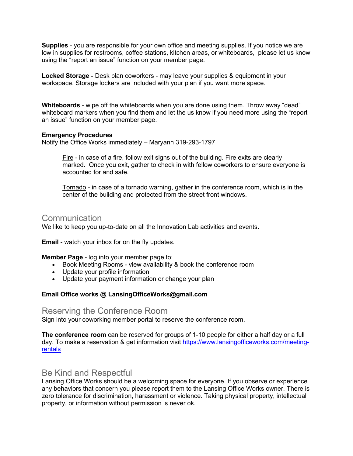**Supplies** - you are responsible for your own office and meeting supplies. If you notice we are low in supplies for restrooms, coffee stations, kitchen areas, or whiteboards, please let us know using the "report an issue" function on your member page.

**Locked Storage** - Desk plan coworkers - may leave your supplies & equipment in your workspace. Storage lockers are included with your plan if you want more space.

**Whiteboards** - wipe off the whiteboards when you are done using them. Throw away "dead" whiteboard markers when you find them and let the us know if you need more using the "report an issue" function on your member page.

#### **Emergency Procedures**

Notify the Office Works immediately – Maryann 319-293-1797

Fire - in case of a fire, follow exit signs out of the building. Fire exits are clearly marked. Once you exit, gather to check in with fellow coworkers to ensure everyone is accounted for and safe.

Tornado - in case of a tornado warning, gather in the conference room, which is in the center of the building and protected from the street front windows.

## **Communication**

We like to keep you up-to-date on all the Innovation Lab activities and events.

**Email** - watch your inbox for on the fly updates.

**Member Page** - log into your member page to:

- Book Meeting Rooms view availability & book the conference room
- Update your profile information
- Update your payment information or change your plan

#### **Email Office works @ LansingOfficeWorks@gmail.com**

## Reserving the Conference Room

Sign into your coworking member portal to reserve the conference room.

**The conference room** can be reserved for groups of 1-10 people for either a half day or a full day. To make a reservation & get information visit https://www.lansingofficeworks.com/meetingrentals

## Be Kind and Respectful

Lansing Office Works should be a welcoming space for everyone. If you observe or experience any behaviors that concern you please report them to the Lansing Office Works owner. There is zero tolerance for discrimination, harassment or violence. Taking physical property, intellectual property, or information without permission is never ok.